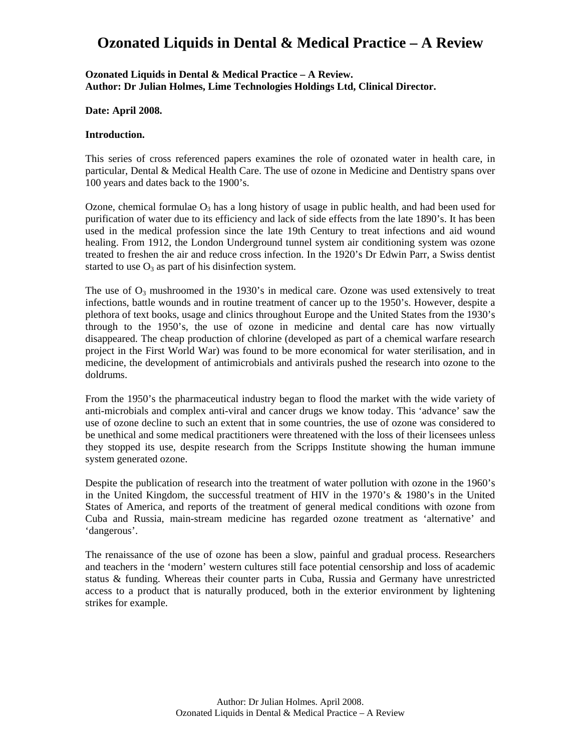## **Ozonated Liquids in Dental & Medical Practice – A Review**

#### **Ozonated Liquids in Dental & Medical Practice – A Review. Author: Dr Julian Holmes, Lime Technologies Holdings Ltd, Clinical Director.**

#### **Date: April 2008.**

#### **Introduction.**

This series of cross referenced papers examines the role of ozonated water in health care, in particular, Dental & Medical Health Care. The use of ozone in Medicine and Dentistry spans over 100 years and dates back to the 1900's.

Ozone, chemical formulae  $O_3$  has a long history of usage in public health, and had been used for purification of water due to its efficiency and lack of side effects from the late 1890's. It has been used in the medical profession since the late 19th Century to treat infections and aid wound healing. From 1912, the London Underground tunnel system air conditioning system was ozone treated to freshen the air and reduce cross infection. In the 1920's Dr Edwin Parr, a Swiss dentist started to use  $O_3$  as part of his disinfection system.

The use of  $O_3$  mushroomed in the 1930's in medical care. Ozone was used extensively to treat infections, battle wounds and in routine treatment of cancer up to the 1950's. However, despite a plethora of text books, usage and clinics throughout Europe and the United States from the 1930's through to the 1950's, the use of ozone in medicine and dental care has now virtually disappeared. The cheap production of chlorine (developed as part of a chemical warfare research project in the First World War) was found to be more economical for water sterilisation, and in medicine, the development of antimicrobials and antivirals pushed the research into ozone to the doldrums.

From the 1950's the pharmaceutical industry began to flood the market with the wide variety of anti-microbials and complex anti-viral and cancer drugs we know today. This 'advance' saw the use of ozone decline to such an extent that in some countries, the use of ozone was considered to be unethical and some medical practitioners were threatened with the loss of their licensees unless they stopped its use, despite research from the Scripps Institute showing the human immune system generated ozone.

Despite the publication of research into the treatment of water pollution with ozone in the 1960's in the United Kingdom, the successful treatment of HIV in the 1970's & 1980's in the United States of America, and reports of the treatment of general medical conditions with ozone from Cuba and Russia, main-stream medicine has regarded ozone treatment as 'alternative' and 'dangerous'.

The renaissance of the use of ozone has been a slow, painful and gradual process. Researchers and teachers in the 'modern' western cultures still face potential censorship and loss of academic status & funding. Whereas their counter parts in Cuba, Russia and Germany have unrestricted access to a product that is naturally produced, both in the exterior environment by lightening strikes for example.